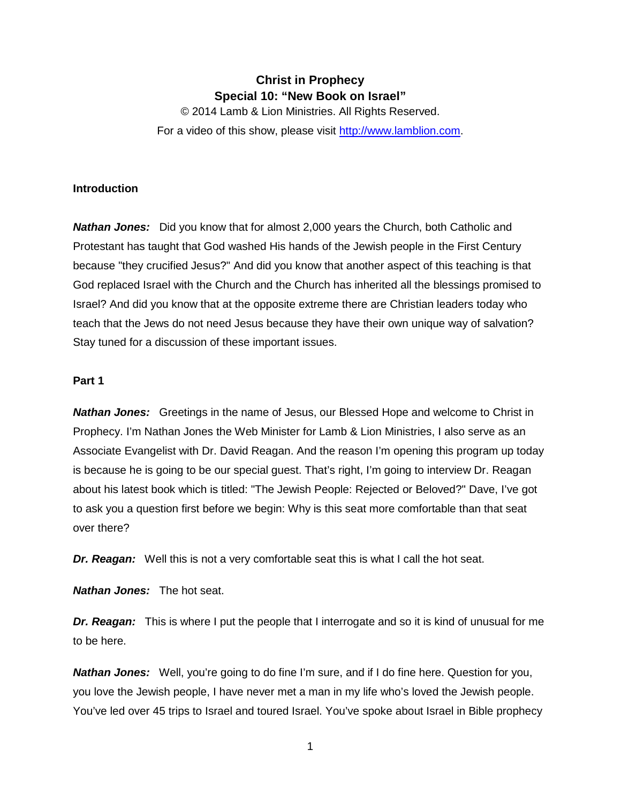# **Christ in Prophecy Special 10: "New Book on Israel"**

© 2014 Lamb & Lion Ministries. All Rights Reserved. For a video of this show, please visit [http://www.lamblion.com.](http://www.lamblion.com/)

## **Introduction**

*Nathan Jones:* Did you know that for almost 2,000 years the Church, both Catholic and Protestant has taught that God washed His hands of the Jewish people in the First Century because "they crucified Jesus?" And did you know that another aspect of this teaching is that God replaced Israel with the Church and the Church has inherited all the blessings promised to Israel? And did you know that at the opposite extreme there are Christian leaders today who teach that the Jews do not need Jesus because they have their own unique way of salvation? Stay tuned for a discussion of these important issues.

#### **Part 1**

*Nathan Jones:* Greetings in the name of Jesus, our Blessed Hope and welcome to Christ in Prophecy. I'm Nathan Jones the Web Minister for Lamb & Lion Ministries, I also serve as an Associate Evangelist with Dr. David Reagan. And the reason I'm opening this program up today is because he is going to be our special guest. That's right, I'm going to interview Dr. Reagan about his latest book which is titled: "The Jewish People: Rejected or Beloved?" Dave, I've got to ask you a question first before we begin: Why is this seat more comfortable than that seat over there?

*Dr. Reagan:* Well this is not a very comfortable seat this is what I call the hot seat.

*Nathan Jones:* The hot seat.

*Dr. Reagan:* This is where I put the people that I interrogate and so it is kind of unusual for me to be here.

*Nathan Jones:* Well, you're going to do fine I'm sure, and if I do fine here. Question for you, you love the Jewish people, I have never met a man in my life who's loved the Jewish people. You've led over 45 trips to Israel and toured Israel. You've spoke about Israel in Bible prophecy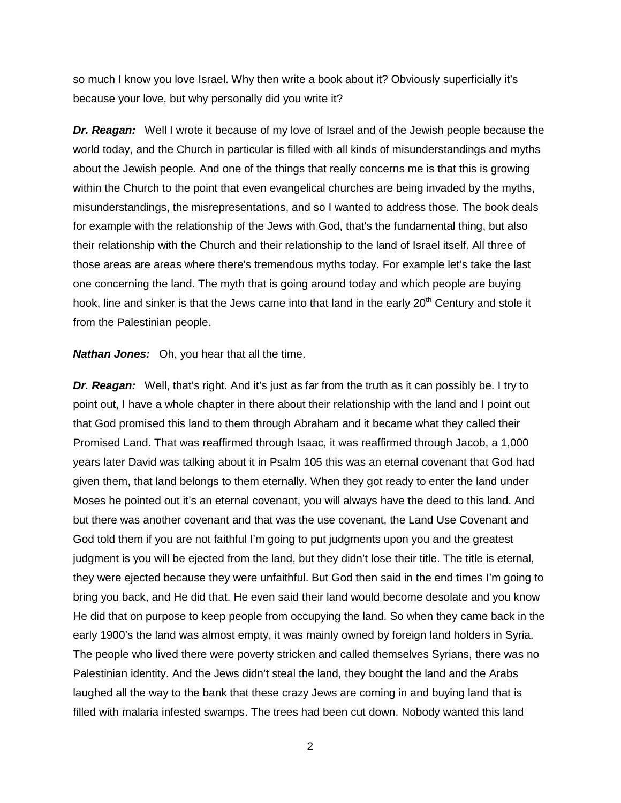so much I know you love Israel. Why then write a book about it? Obviously superficially it's because your love, but why personally did you write it?

*Dr. Reagan:* Well I wrote it because of my love of Israel and of the Jewish people because the world today, and the Church in particular is filled with all kinds of misunderstandings and myths about the Jewish people. And one of the things that really concerns me is that this is growing within the Church to the point that even evangelical churches are being invaded by the myths, misunderstandings, the misrepresentations, and so I wanted to address those. The book deals for example with the relationship of the Jews with God, that's the fundamental thing, but also their relationship with the Church and their relationship to the land of Israel itself. All three of those areas are areas where there's tremendous myths today. For example let's take the last one concerning the land. The myth that is going around today and which people are buying hook, line and sinker is that the Jews came into that land in the early  $20<sup>th</sup>$  Century and stole it from the Palestinian people.

*Nathan Jones:* Oh, you hear that all the time.

*Dr. Reagan:* Well, that's right. And it's just as far from the truth as it can possibly be. I try to point out, I have a whole chapter in there about their relationship with the land and I point out that God promised this land to them through Abraham and it became what they called their Promised Land. That was reaffirmed through Isaac, it was reaffirmed through Jacob, a 1,000 years later David was talking about it in Psalm 105 this was an eternal covenant that God had given them, that land belongs to them eternally. When they got ready to enter the land under Moses he pointed out it's an eternal covenant, you will always have the deed to this land. And but there was another covenant and that was the use covenant, the Land Use Covenant and God told them if you are not faithful I'm going to put judgments upon you and the greatest judgment is you will be ejected from the land, but they didn't lose their title. The title is eternal, they were ejected because they were unfaithful. But God then said in the end times I'm going to bring you back, and He did that. He even said their land would become desolate and you know He did that on purpose to keep people from occupying the land. So when they came back in the early 1900's the land was almost empty, it was mainly owned by foreign land holders in Syria. The people who lived there were poverty stricken and called themselves Syrians, there was no Palestinian identity. And the Jews didn't steal the land, they bought the land and the Arabs laughed all the way to the bank that these crazy Jews are coming in and buying land that is filled with malaria infested swamps. The trees had been cut down. Nobody wanted this land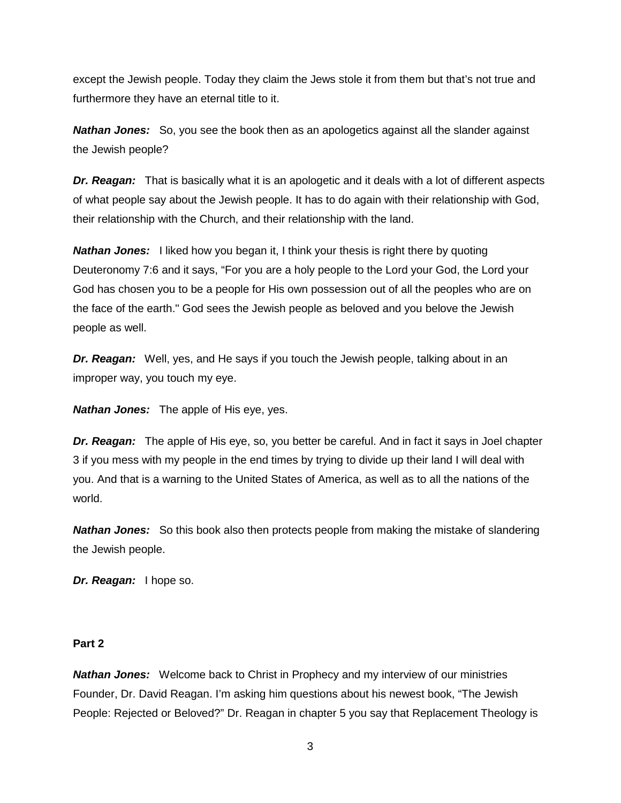except the Jewish people. Today they claim the Jews stole it from them but that's not true and furthermore they have an eternal title to it.

*Nathan Jones:* So, you see the book then as an apologetics against all the slander against the Jewish people?

*Dr. Reagan:* That is basically what it is an apologetic and it deals with a lot of different aspects of what people say about the Jewish people. It has to do again with their relationship with God, their relationship with the Church, and their relationship with the land.

**Nathan Jones:** I liked how you began it, I think your thesis is right there by quoting Deuteronomy 7:6 and it says, "For you are a holy people to the Lord your God, the Lord your God has chosen you to be a people for His own possession out of all the peoples who are on the face of the earth." God sees the Jewish people as beloved and you belove the Jewish people as well.

*Dr. Reagan:* Well, yes, and He says if you touch the Jewish people, talking about in an improper way, you touch my eye.

*Nathan Jones:* The apple of His eye, yes.

*Dr. Reagan:* The apple of His eye, so, you better be careful. And in fact it says in Joel chapter 3 if you mess with my people in the end times by trying to divide up their land I will deal with you. And that is a warning to the United States of America, as well as to all the nations of the world.

*Nathan Jones:* So this book also then protects people from making the mistake of slandering the Jewish people.

*Dr. Reagan:* I hope so.

#### **Part 2**

*Nathan Jones:* Welcome back to Christ in Prophecy and my interview of our ministries Founder, Dr. David Reagan. I'm asking him questions about his newest book, "The Jewish People: Rejected or Beloved?" Dr. Reagan in chapter 5 you say that Replacement Theology is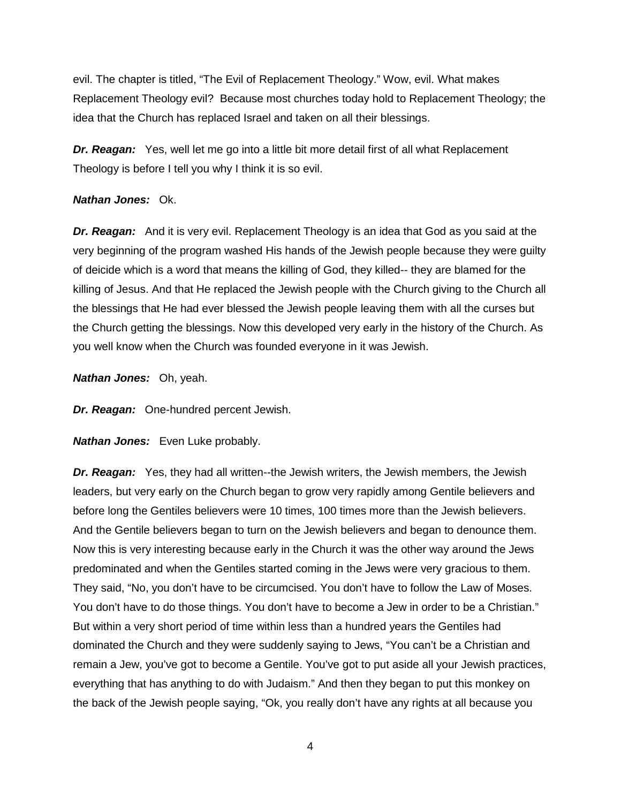evil. The chapter is titled, "The Evil of Replacement Theology." Wow, evil. What makes Replacement Theology evil? Because most churches today hold to Replacement Theology; the idea that the Church has replaced Israel and taken on all their blessings.

*Dr. Reagan:* Yes, well let me go into a little bit more detail first of all what Replacement Theology is before I tell you why I think it is so evil.

#### *Nathan Jones:* Ok.

*Dr. Reagan:* And it is very evil. Replacement Theology is an idea that God as you said at the very beginning of the program washed His hands of the Jewish people because they were guilty of deicide which is a word that means the killing of God, they killed-- they are blamed for the killing of Jesus. And that He replaced the Jewish people with the Church giving to the Church all the blessings that He had ever blessed the Jewish people leaving them with all the curses but the Church getting the blessings. Now this developed very early in the history of the Church. As you well know when the Church was founded everyone in it was Jewish.

*Nathan Jones:* Oh, yeah.

*Dr. Reagan:* One-hundred percent Jewish.

*Nathan Jones:* Even Luke probably.

*Dr. Reagan:* Yes, they had all written--the Jewish writers, the Jewish members, the Jewish leaders, but very early on the Church began to grow very rapidly among Gentile believers and before long the Gentiles believers were 10 times, 100 times more than the Jewish believers. And the Gentile believers began to turn on the Jewish believers and began to denounce them. Now this is very interesting because early in the Church it was the other way around the Jews predominated and when the Gentiles started coming in the Jews were very gracious to them. They said, "No, you don't have to be circumcised. You don't have to follow the Law of Moses. You don't have to do those things. You don't have to become a Jew in order to be a Christian." But within a very short period of time within less than a hundred years the Gentiles had dominated the Church and they were suddenly saying to Jews, "You can't be a Christian and remain a Jew, you've got to become a Gentile. You've got to put aside all your Jewish practices, everything that has anything to do with Judaism." And then they began to put this monkey on the back of the Jewish people saying, "Ok, you really don't have any rights at all because you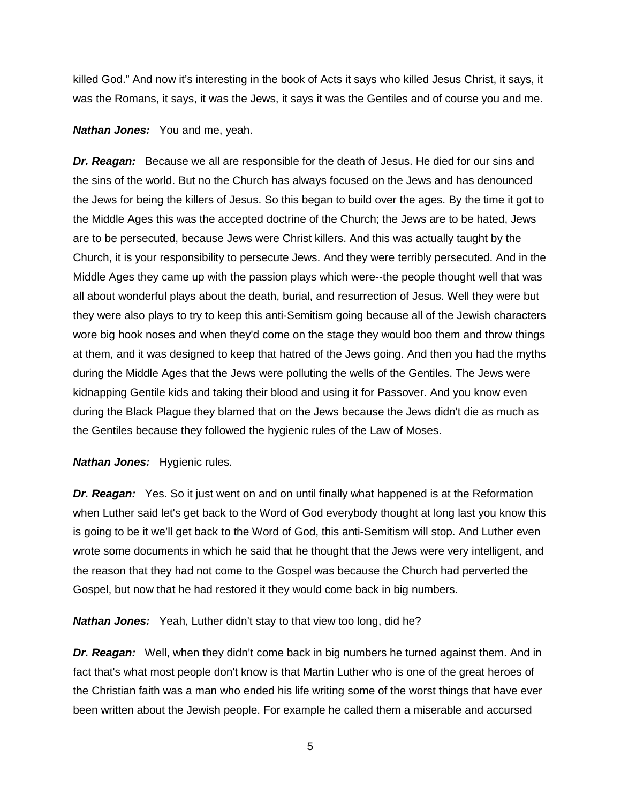killed God." And now it's interesting in the book of Acts it says who killed Jesus Christ, it says, it was the Romans, it says, it was the Jews, it says it was the Gentiles and of course you and me.

#### *Nathan Jones:* You and me, yeah.

*Dr. Reagan:* Because we all are responsible for the death of Jesus. He died for our sins and the sins of the world. But no the Church has always focused on the Jews and has denounced the Jews for being the killers of Jesus. So this began to build over the ages. By the time it got to the Middle Ages this was the accepted doctrine of the Church; the Jews are to be hated, Jews are to be persecuted, because Jews were Christ killers. And this was actually taught by the Church, it is your responsibility to persecute Jews. And they were terribly persecuted. And in the Middle Ages they came up with the passion plays which were--the people thought well that was all about wonderful plays about the death, burial, and resurrection of Jesus. Well they were but they were also plays to try to keep this anti-Semitism going because all of the Jewish characters wore big hook noses and when they'd come on the stage they would boo them and throw things at them, and it was designed to keep that hatred of the Jews going. And then you had the myths during the Middle Ages that the Jews were polluting the wells of the Gentiles. The Jews were kidnapping Gentile kids and taking their blood and using it for Passover. And you know even during the Black Plague they blamed that on the Jews because the Jews didn't die as much as the Gentiles because they followed the hygienic rules of the Law of Moses.

#### *Nathan Jones:* Hygienic rules.

*Dr. Reagan:* Yes. So it just went on and on until finally what happened is at the Reformation when Luther said let's get back to the Word of God everybody thought at long last you know this is going to be it we'll get back to the Word of God, this anti-Semitism will stop. And Luther even wrote some documents in which he said that he thought that the Jews were very intelligent, and the reason that they had not come to the Gospel was because the Church had perverted the Gospel, but now that he had restored it they would come back in big numbers.

*Nathan Jones:* Yeah, Luther didn't stay to that view too long, did he?

**Dr. Reagan:** Well, when they didn't come back in big numbers he turned against them. And in fact that's what most people don't know is that Martin Luther who is one of the great heroes of the Christian faith was a man who ended his life writing some of the worst things that have ever been written about the Jewish people. For example he called them a miserable and accursed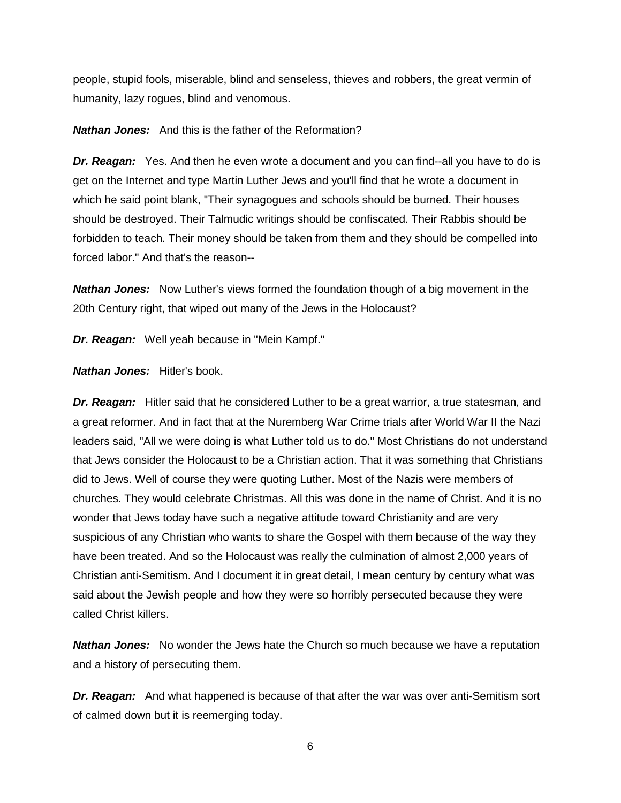people, stupid fools, miserable, blind and senseless, thieves and robbers, the great vermin of humanity, lazy rogues, blind and venomous.

*Nathan Jones:* And this is the father of the Reformation?

**Dr. Reagan:** Yes. And then he even wrote a document and you can find--all you have to do is get on the Internet and type Martin Luther Jews and you'll find that he wrote a document in which he said point blank, "Their synagogues and schools should be burned. Their houses should be destroyed. Their Talmudic writings should be confiscated. Their Rabbis should be forbidden to teach. Their money should be taken from them and they should be compelled into forced labor." And that's the reason--

*Nathan Jones:* Now Luther's views formed the foundation though of a big movement in the 20th Century right, that wiped out many of the Jews in the Holocaust?

*Dr. Reagan:* Well yeah because in "Mein Kampf."

*Nathan Jones:* Hitler's book.

*Dr. Reagan:* Hitler said that he considered Luther to be a great warrior, a true statesman, and a great reformer. And in fact that at the Nuremberg War Crime trials after World War II the Nazi leaders said, "All we were doing is what Luther told us to do." Most Christians do not understand that Jews consider the Holocaust to be a Christian action. That it was something that Christians did to Jews. Well of course they were quoting Luther. Most of the Nazis were members of churches. They would celebrate Christmas. All this was done in the name of Christ. And it is no wonder that Jews today have such a negative attitude toward Christianity and are very suspicious of any Christian who wants to share the Gospel with them because of the way they have been treated. And so the Holocaust was really the culmination of almost 2,000 years of Christian anti-Semitism. And I document it in great detail, I mean century by century what was said about the Jewish people and how they were so horribly persecuted because they were called Christ killers.

*Nathan Jones:* No wonder the Jews hate the Church so much because we have a reputation and a history of persecuting them.

*Dr. Reagan:* And what happened is because of that after the war was over anti-Semitism sort of calmed down but it is reemerging today.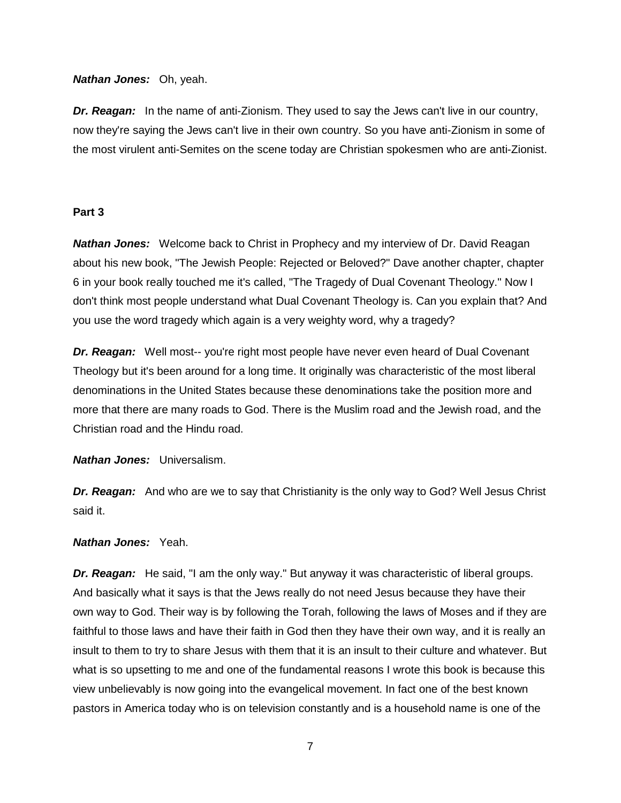# *Nathan Jones:* Oh, yeah.

**Dr. Reagan:** In the name of anti-Zionism. They used to say the Jews can't live in our country, now they're saying the Jews can't live in their own country. So you have anti-Zionism in some of the most virulent anti-Semites on the scene today are Christian spokesmen who are anti-Zionist.

# **Part 3**

*Nathan Jones:* Welcome back to Christ in Prophecy and my interview of Dr. David Reagan about his new book, "The Jewish People: Rejected or Beloved?" Dave another chapter, chapter 6 in your book really touched me it's called, "The Tragedy of Dual Covenant Theology." Now I don't think most people understand what Dual Covenant Theology is. Can you explain that? And you use the word tragedy which again is a very weighty word, why a tragedy?

*Dr. Reagan:* Well most-- you're right most people have never even heard of Dual Covenant Theology but it's been around for a long time. It originally was characteristic of the most liberal denominations in the United States because these denominations take the position more and more that there are many roads to God. There is the Muslim road and the Jewish road, and the Christian road and the Hindu road.

*Nathan Jones:* Universalism.

*Dr. Reagan:* And who are we to say that Christianity is the only way to God? Well Jesus Christ said it.

## *Nathan Jones:* Yeah.

**Dr. Reagan:** He said, "I am the only way." But anyway it was characteristic of liberal groups. And basically what it says is that the Jews really do not need Jesus because they have their own way to God. Their way is by following the Torah, following the laws of Moses and if they are faithful to those laws and have their faith in God then they have their own way, and it is really an insult to them to try to share Jesus with them that it is an insult to their culture and whatever. But what is so upsetting to me and one of the fundamental reasons I wrote this book is because this view unbelievably is now going into the evangelical movement. In fact one of the best known pastors in America today who is on television constantly and is a household name is one of the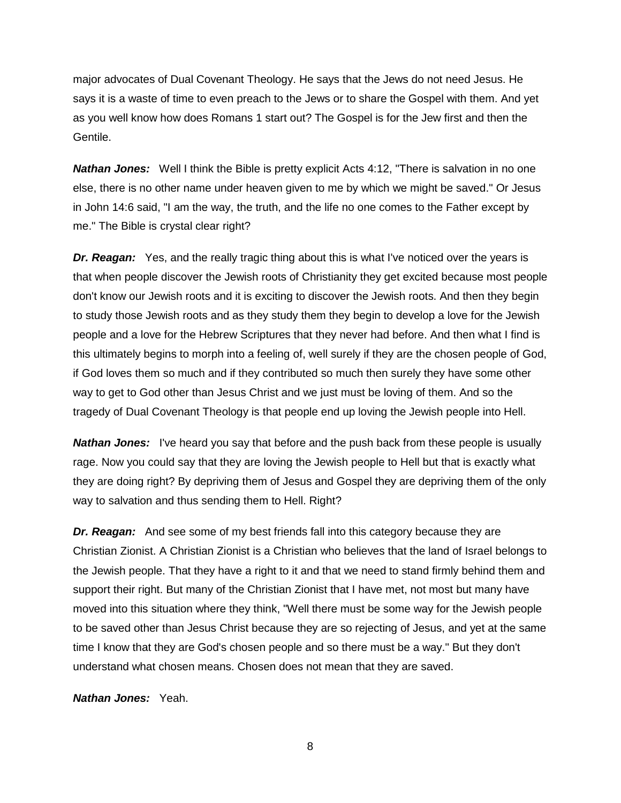major advocates of Dual Covenant Theology. He says that the Jews do not need Jesus. He says it is a waste of time to even preach to the Jews or to share the Gospel with them. And yet as you well know how does Romans 1 start out? The Gospel is for the Jew first and then the Gentile.

*Nathan Jones:* Well I think the Bible is pretty explicit Acts 4:12, "There is salvation in no one else, there is no other name under heaven given to me by which we might be saved." Or Jesus in John 14:6 said, "I am the way, the truth, and the life no one comes to the Father except by me." The Bible is crystal clear right?

*Dr. Reagan:* Yes, and the really tragic thing about this is what I've noticed over the years is that when people discover the Jewish roots of Christianity they get excited because most people don't know our Jewish roots and it is exciting to discover the Jewish roots. And then they begin to study those Jewish roots and as they study them they begin to develop a love for the Jewish people and a love for the Hebrew Scriptures that they never had before. And then what I find is this ultimately begins to morph into a feeling of, well surely if they are the chosen people of God, if God loves them so much and if they contributed so much then surely they have some other way to get to God other than Jesus Christ and we just must be loving of them. And so the tragedy of Dual Covenant Theology is that people end up loving the Jewish people into Hell.

*Nathan Jones:* I've heard you say that before and the push back from these people is usually rage. Now you could say that they are loving the Jewish people to Hell but that is exactly what they are doing right? By depriving them of Jesus and Gospel they are depriving them of the only way to salvation and thus sending them to Hell. Right?

*Dr. Reagan:* And see some of my best friends fall into this category because they are Christian Zionist. A Christian Zionist is a Christian who believes that the land of Israel belongs to the Jewish people. That they have a right to it and that we need to stand firmly behind them and support their right. But many of the Christian Zionist that I have met, not most but many have moved into this situation where they think, "Well there must be some way for the Jewish people to be saved other than Jesus Christ because they are so rejecting of Jesus, and yet at the same time I know that they are God's chosen people and so there must be a way." But they don't understand what chosen means. Chosen does not mean that they are saved.

*Nathan Jones:* Yeah.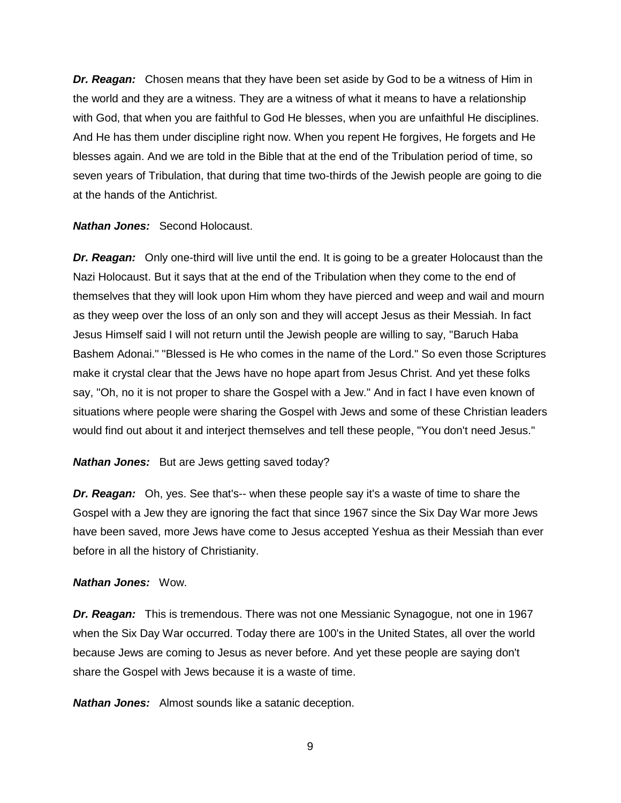*Dr. Reagan:* Chosen means that they have been set aside by God to be a witness of Him in the world and they are a witness. They are a witness of what it means to have a relationship with God, that when you are faithful to God He blesses, when you are unfaithful He disciplines. And He has them under discipline right now. When you repent He forgives, He forgets and He blesses again. And we are told in the Bible that at the end of the Tribulation period of time, so seven years of Tribulation, that during that time two-thirds of the Jewish people are going to die at the hands of the Antichrist.

*Nathan Jones:* Second Holocaust.

*Dr. Reagan:* Only one-third will live until the end. It is going to be a greater Holocaust than the Nazi Holocaust. But it says that at the end of the Tribulation when they come to the end of themselves that they will look upon Him whom they have pierced and weep and wail and mourn as they weep over the loss of an only son and they will accept Jesus as their Messiah. In fact Jesus Himself said I will not return until the Jewish people are willing to say, "Baruch Haba Bashem Adonai." "Blessed is He who comes in the name of the Lord." So even those Scriptures make it crystal clear that the Jews have no hope apart from Jesus Christ. And yet these folks say, "Oh, no it is not proper to share the Gospel with a Jew." And in fact I have even known of situations where people were sharing the Gospel with Jews and some of these Christian leaders would find out about it and interject themselves and tell these people, "You don't need Jesus."

## *Nathan Jones:* But are Jews getting saved today?

*Dr. Reagan:* Oh, yes. See that's-- when these people say it's a waste of time to share the Gospel with a Jew they are ignoring the fact that since 1967 since the Six Day War more Jews have been saved, more Jews have come to Jesus accepted Yeshua as their Messiah than ever before in all the history of Christianity.

#### *Nathan Jones:* Wow.

*Dr. Reagan:* This is tremendous. There was not one Messianic Synagogue, not one in 1967 when the Six Day War occurred. Today there are 100's in the United States, all over the world because Jews are coming to Jesus as never before. And yet these people are saying don't share the Gospel with Jews because it is a waste of time.

*Nathan Jones:* Almost sounds like a satanic deception.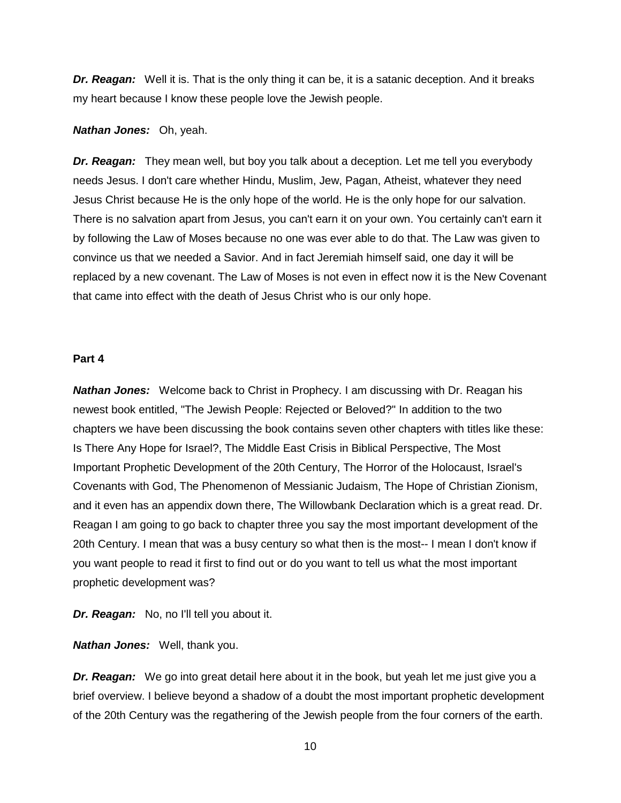*Dr. Reagan:* Well it is. That is the only thing it can be, it is a satanic deception. And it breaks my heart because I know these people love the Jewish people.

#### *Nathan Jones:* Oh, yeah.

*Dr. Reagan:* They mean well, but boy you talk about a deception. Let me tell you everybody needs Jesus. I don't care whether Hindu, Muslim, Jew, Pagan, Atheist, whatever they need Jesus Christ because He is the only hope of the world. He is the only hope for our salvation. There is no salvation apart from Jesus, you can't earn it on your own. You certainly can't earn it by following the Law of Moses because no one was ever able to do that. The Law was given to convince us that we needed a Savior. And in fact Jeremiah himself said, one day it will be replaced by a new covenant. The Law of Moses is not even in effect now it is the New Covenant that came into effect with the death of Jesus Christ who is our only hope.

#### **Part 4**

*Nathan Jones:* Welcome back to Christ in Prophecy. I am discussing with Dr. Reagan his newest book entitled, "The Jewish People: Rejected or Beloved?" In addition to the two chapters we have been discussing the book contains seven other chapters with titles like these: Is There Any Hope for Israel?, The Middle East Crisis in Biblical Perspective, The Most Important Prophetic Development of the 20th Century, The Horror of the Holocaust, Israel's Covenants with God, The Phenomenon of Messianic Judaism, The Hope of Christian Zionism, and it even has an appendix down there, The Willowbank Declaration which is a great read. Dr. Reagan I am going to go back to chapter three you say the most important development of the 20th Century. I mean that was a busy century so what then is the most-- I mean I don't know if you want people to read it first to find out or do you want to tell us what the most important prophetic development was?

*Dr. Reagan:* No, no I'll tell you about it.

*Nathan Jones:* Well, thank you.

*Dr. Reagan:* We go into great detail here about it in the book, but yeah let me just give you a brief overview. I believe beyond a shadow of a doubt the most important prophetic development of the 20th Century was the regathering of the Jewish people from the four corners of the earth.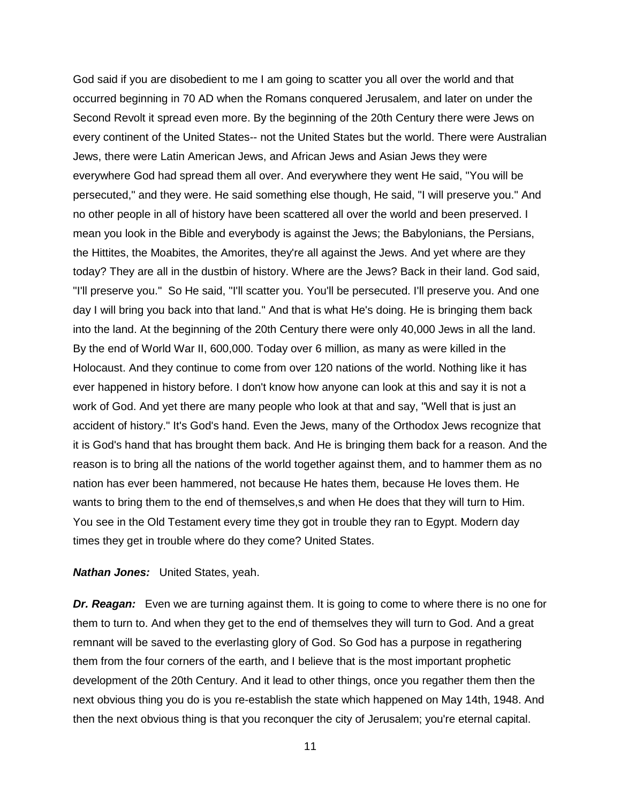God said if you are disobedient to me I am going to scatter you all over the world and that occurred beginning in 70 AD when the Romans conquered Jerusalem, and later on under the Second Revolt it spread even more. By the beginning of the 20th Century there were Jews on every continent of the United States-- not the United States but the world. There were Australian Jews, there were Latin American Jews, and African Jews and Asian Jews they were everywhere God had spread them all over. And everywhere they went He said, "You will be persecuted," and they were. He said something else though, He said, "I will preserve you." And no other people in all of history have been scattered all over the world and been preserved. I mean you look in the Bible and everybody is against the Jews; the Babylonians, the Persians, the Hittites, the Moabites, the Amorites, they're all against the Jews. And yet where are they today? They are all in the dustbin of history. Where are the Jews? Back in their land. God said, "I'll preserve you." So He said, "I'll scatter you. You'll be persecuted. I'll preserve you. And one day I will bring you back into that land." And that is what He's doing. He is bringing them back into the land. At the beginning of the 20th Century there were only 40,000 Jews in all the land. By the end of World War II, 600,000. Today over 6 million, as many as were killed in the Holocaust. And they continue to come from over 120 nations of the world. Nothing like it has ever happened in history before. I don't know how anyone can look at this and say it is not a work of God. And yet there are many people who look at that and say, "Well that is just an accident of history." It's God's hand. Even the Jews, many of the Orthodox Jews recognize that it is God's hand that has brought them back. And He is bringing them back for a reason. And the reason is to bring all the nations of the world together against them, and to hammer them as no nation has ever been hammered, not because He hates them, because He loves them. He wants to bring them to the end of themselves,s and when He does that they will turn to Him. You see in the Old Testament every time they got in trouble they ran to Egypt. Modern day times they get in trouble where do they come? United States.

#### *Nathan Jones:* United States, yeah.

*Dr. Reagan:* Even we are turning against them. It is going to come to where there is no one for them to turn to. And when they get to the end of themselves they will turn to God. And a great remnant will be saved to the everlasting glory of God. So God has a purpose in regathering them from the four corners of the earth, and I believe that is the most important prophetic development of the 20th Century. And it lead to other things, once you regather them then the next obvious thing you do is you re-establish the state which happened on May 14th, 1948. And then the next obvious thing is that you reconquer the city of Jerusalem; you're eternal capital.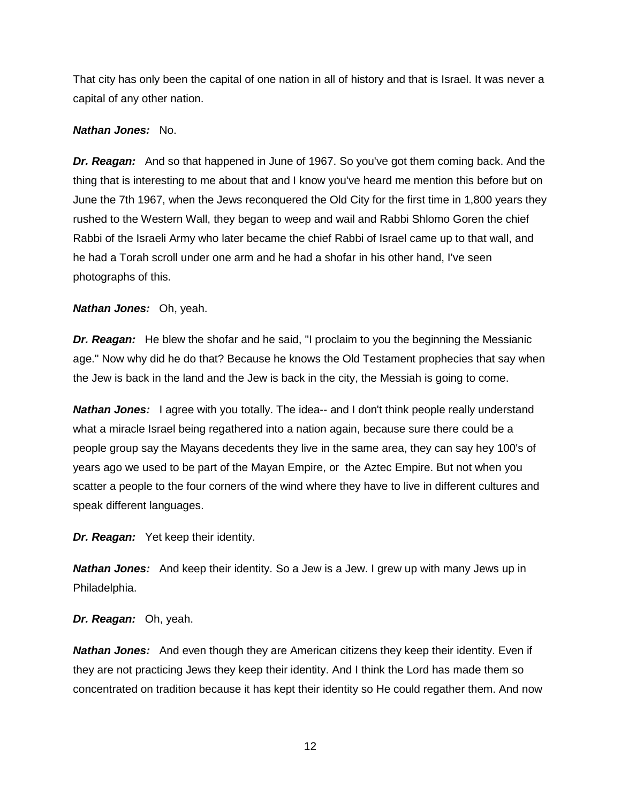That city has only been the capital of one nation in all of history and that is Israel. It was never a capital of any other nation.

# *Nathan Jones:* No.

*Dr. Reagan:* And so that happened in June of 1967. So you've got them coming back. And the thing that is interesting to me about that and I know you've heard me mention this before but on June the 7th 1967, when the Jews reconquered the Old City for the first time in 1,800 years they rushed to the Western Wall, they began to weep and wail and Rabbi Shlomo Goren the chief Rabbi of the Israeli Army who later became the chief Rabbi of Israel came up to that wall, and he had a Torah scroll under one arm and he had a shofar in his other hand, I've seen photographs of this.

# *Nathan Jones:* Oh, yeah.

*Dr. Reagan:* He blew the shofar and he said, "I proclaim to you the beginning the Messianic age." Now why did he do that? Because he knows the Old Testament prophecies that say when the Jew is back in the land and the Jew is back in the city, the Messiah is going to come.

*Nathan Jones:* I agree with you totally. The idea-- and I don't think people really understand what a miracle Israel being regathered into a nation again, because sure there could be a people group say the Mayans decedents they live in the same area, they can say hey 100's of years ago we used to be part of the Mayan Empire, or the Aztec Empire. But not when you scatter a people to the four corners of the wind where they have to live in different cultures and speak different languages.

*Dr. Reagan:* Yet keep their identity.

*Nathan Jones:* And keep their identity. So a Jew is a Jew. I grew up with many Jews up in Philadelphia.

*Dr. Reagan:* Oh, yeah.

*Nathan Jones:* And even though they are American citizens they keep their identity. Even if they are not practicing Jews they keep their identity. And I think the Lord has made them so concentrated on tradition because it has kept their identity so He could regather them. And now